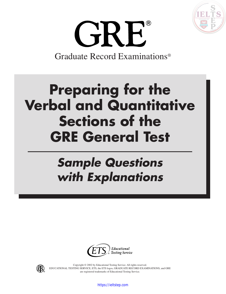



# **Preparing for the Verbal and Quantitative Sections of the GRE General Test**

# **Sample Questions with Explanations**





Copyright © 2002 by Educational Testing Service. All rights reserved. EDUCATIONAL TESTING SERVICE, ETS, the ETS logos, GRADUATE RECORD EXAMINATIONS, and GRE **(ES)** EDUCATIONAL TESTING SERVICE, ETS, the ETS logos, GRADUATE RECORD are registered trademarks of Educational Testing Service.

https://ieltstep.com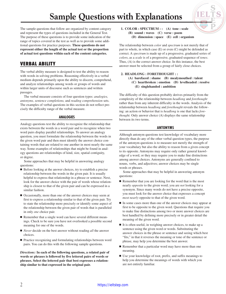The sample questions that follow are organized by content category and represent the types of questions included in the General Test. The purpose of these questions is to provide some indication of the range of topics covered in the test as well as to provide some additional questions for practice purposes. **These questions do not represent either the length of the actual test or the proportion of actual test questions within each of the content categories.**

# **VERBAL ABILITY**

The verbal ability measure is designed to test the ability to reason with words in solving problems. Reasoning effectively in a verbal medium depends primarily upon the ability to discern, comprehend, and analyze relationships among words or groups of words and within larger units of discourse such as sentences and written passages.

The verbal measure consists of four question types: *analogies, antonyms, sentence completions,* and *reading comprehension* sets. The examples of verbal questions in this section do not reflect precisely the difficulty range of the verbal measure.

# **ANALOGIES**

Analogy questions test the ability to recognize the relationship that exists between the words in a word pair and to recognize when two word pairs display parallel relationships. To answer an analogy question, you must formulate the relationship between the words in the given word pair and then must identify the answer choice containing words that are related to one another in most nearly the same way. Some examples of relationships that might be found in analogy questions are relationships of kind, size, spatial contiguity, or degree.

Some approaches that may be helpful in answering analogy questions:

- Before looking at the answer choices, try to establish a precise relationship between the words in the given pair. It is usually helpful to express that relationship in a phrase or sentence. Next, look for the answer choice with the pair of words whose relationship is closest to that of the given pair and can be expressed in a similar fashion.
- Occasionally, more than one of the answer choices may seem at first to express a relationship similar to that of the given pair. Try to state the relationship more precisely or identify some aspect of the relationship between the given pair of words that is paralleled in only *one* choice pair.
- Remember that a single word can have several different meanings. Check to be sure you have not overlooked a possible second meaning for one of the words.
- *Never* decide on the best answer without reading *all* the answer choices.
- **Practice recognizing and formulating relationships between word** pairs. You can do this with the following sample questions*.*

*Directions:* **In each of the following questions, a related pair of words or phrases is followed by five lettered pairs of words or phrases. Select the lettered pair that best expresses a relationship similar to that expressed in the original pair.**

# **1. COLOR : SPECTRUM : : (A) tone : scale (B) sound : waves (C) verse : poem (D) dimension : space (E) cell : organism**

The relationship between *color* and *spectrum* is not merely that of part to whole, in which case (E) or even (C) might be defended as correct. A *spectrum* is made up of a progressive, graduated series of *colors*, as a *scale* is of a progressive, graduated sequence of *tones*. Thus, (A) is the correct answer choice. In this instance, the best answer must be selected from a group of fairly close choices.

# **2. HEADLONG : FORETHOUGHT : :**

# **(A) barefaced : shame (B) mealymouthed : talent (C) heartbroken : emotion (D) levelheaded : resolve (E) singlehanded : ambition**

The difficulty of this question probably derives primarily from the complexity of the relationship between *headlong* and *forethought* rather than from any inherent difficulty in the words. Analysis of the relationship between *headlong* and *forethought* reveals the following: an action or behavior that is *headlong* is one that lacks *forethought.* Only answer choice (A) displays the same relationship between its two terms.

# **ANTONYMS**

Although antonym questions test knowledge of vocabulary more directly than do any of the other verbal question types, the purpose of the antonym questions is to measure not merely the strength of your vocabulary but also the ability to reason from a given concept to its opposite. Antonyms may require only rather general knowledge of a word, or they may require you to make fine distinctions among answer choices. Antonyms are generally confined to nouns, verbs, and adjectives; answer choices may be single words or phrases.

Some approaches that may be helpful in answering antonym questions:

- Remember that you are looking for the word that is the most nearly *opposite* to the given word; you are *not* looking for a synonym. Since many words do not have a precise opposite, you must look for the answer choice that expresses a concept *most nearly* opposite to that of the given word.
- In some cases more than one of the answer choices may appear at first to be opposite to the given word. Questions that require you to make fine distinctions among two or more answer choices are best handled by defining more precisely or in greater detail the meaning of the given word.
- It is often useful, in weighing answer choices, to make up a sentence using the given word or words. Substituting the answer choices in the phrase or sentence and seeing which best "fits," in that it reverses the meaning or tone of the sentence or phrase, may help you determine the best answer.
- Remember that a particular word may have more than one meaning.
- Use your knowledge of root, prefix, and suffix meanings to help you determine the meanings of words with which you are not entirely familiar.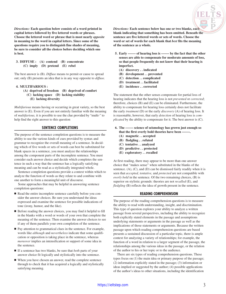*Directions:* **Each question below consists of a word printed in capital letters followed by five lettered words or phrases. Choose the lettered word or phrase that is most nearly** *opposite* **in meaning to the word in capital letters. Since some of the questions require you to distinguish fine shades of meaning, be sure to consider all the choices before deciding which one is best.**

**3. DIFFUSE : (A) contend (B) concentrate (C) imply (D) pretend (E) rebel**

The best answer is (B). *Diffuse* means to permit or cause to spread out; only (B) presents an idea that is in any way opposite to *diffuse.*

# **4. MULTIFARIOUS :**

# **(A) deprived of freedom (B) deprived of comfort (C) lacking space (D) lacking stability (E) lacking diversity**

*Multifarious* means having or occurring in great variety, so the best answer is (E). Even if you are not entirely familiar with the meaning of *multifarious,* it is possible to use the clue provided by "multi-" to help find the right answer to this question

# **SENTENCE COMPLETIONS**

The purpose of the sentence completion questions is to measure the ability to use the various kinds of cues provided by syntax and grammar to recognize the overall meaning of a sentence. In deciding which of five words or sets of words can best be substituted for blank spaces in a sentence, you must analyze the relationships among the component parts of the incomplete sentence. You must consider each answer choice and decide which completes the sentence in such a way that the sentence has a logically satisfying meaning and can be read as a stylistically integrated whole.

Sentence completion questions provide a context within which to analyze the function of words as they relate to and combine with one another to form a meaningful unit of discourse.

Some approaches that may be helpful in answering sentence completion questions:

- Read the entire incomplete sentence carefully before you consider the answer choices. Be sure you understand the ideas expressed and examine the sentence for possible indications of tone (irony, humor, and the like).
- Before reading the answer choices, you may find it helpful to fill in the blanks with a word or words of your own that complete the meaning of the sentence. Then examine the answer choices to see if any of them parallels your own completion of the sentence.
- Pay attention to grammatical clues in the sentence. For example, words like *although* and *nevertheless* indicate that some qualification or opposition is taking place in the sentence, whereas *moreover* implies an intensification or support of some idea in the sentence.
- If a sentence has two blanks, be sure that *both* parts of your answer choice fit logically and stylistically into the sentence.
- When you have chosen an answer, read the complete sentence through to check that it has acquired a logically and stylistically satisfying meaning.

*Directions:* **Each sentence below has one or two blanks, each blank indicating that something has been omitted. Beneath the sentence are five lettered words or sets of words. Choose the word or set of words for each blank that** *best* **fits the meaning of the sentence as a whole.**

- **5. Early ------- of hearing loss is ------- by the fact that the other senses are able to compensate for moderate amounts of loss, so that people frequently do not know that their hearing is imperfect.**
	- **(A) discovery . . indicated**
	- **(B) development . . prevented**
	- **(C) detection . . complicated**
	- **(D) treatment . . facilitated**
	- **(E) incidence . . corrected**

The statement that the other senses compensate for partial loss of hearing indicates that the hearing loss is not *prevented* or *corrected*; therefore, choices (B) and (E) can be eliminated. Furthermore, the ability to compensate for hearing loss certainly does not facilitate the early *treatment* (D) or the early *discovery* (A) of hearing loss. It is reasonable, however, that early *detection* of hearing loss is *complicated* by the ability to compensate for it. The best answer is (C).

- **6. The ------- science of seismology has grown just enough so that the first overly bold theories have been -------.**
	- **(A) magnetic . . accepted**
	- **(B) fledgling . . refuted**
	- **(C) tentative . . analyzed**
	- **(D) predictive . . protected**
	- **(E) exploratory . . recalled**

At first reading, there may appear to be more than one answer choice that "makes sense" when substituted in the blanks of the sentence. (A), (C), and (D) can be dismissed fairly readily when it is seen that *accepted, tentative,* and *protected* are not compatible with *overly bold* in the sentence. Of the two remaining choices, (B) is superior on stylistic grounds: theories are not *recalled* (E), and *fledgling* (B) reflects the idea of growth present in the sentence.

# **READING COMPREHENSION**

The purpose of the reading comprehension questions is to measure the ability to read with understanding, insight, and discrimination. This type of question explores your ability to analyze a written passage from several perspectives, including the ability to recognize both explicitly stated elements in the passage and assumptions underlying statements or arguments in the passage as well as the implications of those statements or arguments. Because the written passage upon which reading comprehension questions are based presents a sustained discussion of a particular topic, there is ample context for analyzing a variety of relationships; for example, the function of a word in relation to a larger segment of the passage, the relationships among the various ideas in the passage, or the relation of the author to his or her topic or to the audience.

There are six types of reading comprehension questions. These types focus on (1) the main idea or primary purpose of the passage; (2) information explicitly stated in the passage; (3) information or ideas implied or suggested by the author; (4) possible applications of the author's ideas to other situations, including the identification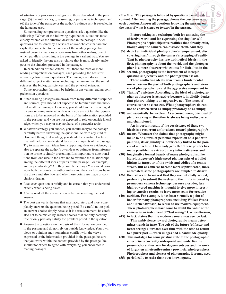of situations or processes analogous to those described in the passage; (5) the author's logic, reasoning, or persuasive techniques; and (6) the tone of the passage or the author's attitude as it is revealed in the language used.

Some reading comprehension questions ask a question like the following: "Which of the following hypothetical situations most closely resembles the situation described in the passage?" Such questions are followed by a series of answer choices that are not explicitly connected to the content of the reading passage but instead present situations or scenarios from other realms, one of which parallels something in the passage in a salient way. You are asked to identify the one answer choice that is most clearly analogous to the situation presented in the passage.

In each edition of the General Test, there are three or more reading comprehension passages, each providing the basis for answering two or more questions. The passages are drawn from different subject matter areas, including the humanities, the social sciences, the biological sciences, and the physical sciences.

Some approaches that may be helpful in answering reading comprehension questions:

- Since reading passages are drawn from many different disciplines and sources, you should not expect to be familiar with the material in all the passages. However, you should not be discouraged by encountering material with which you are not familiar; questions are to be answered on the basis of the information provided in the passage, and you are not expected to rely on outside knowledge, which you may or may not have, of a particular topic.
- Whatever strategy you choose, you should analyze the passage carefully before answering the questions. As with any kind of close and thoughtful reading, you should be sensitive to clues that will help you understand less explicit aspects of the passage. Try to separate main ideas from supporting ideas or evidence; try also to separate the author's own ideas or attitudes from information he or she is simply presenting. It is important to note transitions from one idea to the next and to examine the relationships among the different ideas or parts of the passage. For example, are they contrasting? Are they complementary? You should consider both the points the author makes and the conclusions he or she draws and also how and why those points are made or conclusions drawn.
- Read each question carefully and be certain that you understand exactly what is being asked.
- *Always* read all the answer choices before selecting the best answer.
- The best answer is the one that most accurately and most completely answers the question being posed. Be careful not to pick an answer choice simply because it is a true statement; be careful also not to be misled by answer choices that are only partially true or only partially satisfy the problem posed in the question.
- Answer the questions on the basis of the information provided in the passage and do not rely on outside knowledge. Your own views or opinions may sometimes conflict with the views expressed or the information provided in the passage; be sure that you work within the context provided by the passage. You should not expect to agree with everything you encounter in reading passages.

*Directions:* **The passage is followed by questions based on its content. After reading the passage, choose the best answer to each question. Answer all questions following the passage on the basis of what is** *stated* **or** *implied* **in the passage.**

**Picture-taking is a technique both for annexing the objective world and for expressing the singular self. Photographs depict objective realities that already exist, though only the camera can disclose them. And they**

- **depict an individual photographer's temperament, dis-(5) covering itself through the camera's cropping of reality. That is, photography has two antithetical ideals: in the first, photography is about the world, and the photographer is a mere observer who counts for little; but in the**
- **second, photography is the instrument of intrepid, (10) questing subjectivity and the photographer is all. These conflicting ideals arise from a fundamental uneasiness on the part of both photographers and viewers of photographs toward the aggressive component in**
- **"taking" a picture. Accordingly, the ideal of a photogra-(15) pher as observer is attractive because it implicitly denies that picture-taking is an aggressive act. The issue, of course, is not so clear-cut. What photographers do cannot be characterized as simply predatory or as simply,**
- **and essentially, benevolent. As a consequence, one ideal of (20) picture-taking or the other is always being rediscovered and championed.**

**An important result of the coexistence of these two ideals is a recurrent ambivalence toward photography's**

- **means. Whatever the claims that photography might (25) make to be a form of personal expression on a par with painting, its originality is inextricably linked to the powers of a machine. The steady growth of these powers has made possible the extraordinary informativeness and**
- **imaginative formal beauty of many photographs, like (30) Harold Edgerton's high-speed photographs of a bullet hitting its target or of the swirls and eddies of a tennis stroke. But as cameras become more sophisticated, more automated, some photographers are tempted to disarm**
- **themselves or to suggest that they are not really armed, (35) preferring to submit themselves to the limits imposed by premodern camera technology because a cruder, less high-powered machine is thought to give more interesting or emotive results, to leave more room for creative**
- **accident. For example, it has been virtually a point of (40) honor for many photographers, including Walker Evans and Cartier-Bresson, to refuse to use modern equipment. These photographers have come to doubt the value of the camera as an instrument of "fast seeing." Cartier-Bresson,**
- **in fact, claims that the modern camera may see too fast. (45) This ambivalence toward photographic means determines trends in taste. The cult of the future (of faster and faster seeing) alternates over time with the wish to return to a purer past — when images had a handmade quality.**
- **This nostalgia for some pristine state of the photographic (50) enterprise is currently widespread and underlies the present-day enthusiasm for daguerreotypes and the work of forgotten nineteenth-century provincial photographers. Photographers and viewers of photographs, it seems, need**
- **periodically to resist their own knowingness. (55)**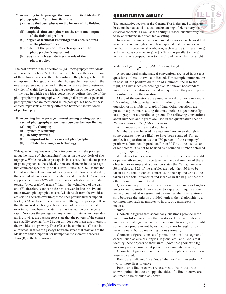- **7. According to the passage, the two antithetical ideals of photography differ primarily in the**
	- **(A) value that each places on the beauty of the finished product**
	- **(B) emphasis that each places on the emotional impact of the finished product**
	- **(C) degree of technical knowledge that each requires of the photographer**
	- **(D) extent of the power that each requires of the photographer's equipment**
	- **(E) way in which each defines the role of the photographer**

The best answer to this question is (E). Photography's two ideals are presented in lines 7-11. The main emphasis in the description of these two ideals is on the relationship of the photographer to the enterprise of photography, with the photographer described in the one as a passive observer and in the other as an active questioner. (E) identifies this key feature in the description of the two ideals — the way in which each ideal conceives or defines the role of the photographer in photography. (A) through (D) present aspects of photography that are mentioned in the passage, but none of these choices represents a primary difference between the two ideals of photography.

- **8. According to the passage, interest among photographers in each of photography's two ideals can best be described as**
	- **(A) rapidly changing**
	- **(B) cyclically recurring**
	- **(C) steadily growing**
	- **(D) unimportant to the viewers of photographs**
	- **(E) unrelated to changes in technology**

This question requires one to look for comments in the passage about the nature of photographers' interest in the two ideals of photography. While the whole passage is, in a sense, about the response of photographers to these ideals, there are elements in the passage that comment specifically on this issue. Lines 20-22 tell us that the two ideals alternate in terms of their perceived relevance and value, that each ideal has periods of popularity and of neglect. These lines support (B). Lines 23-25 tell us that the two ideals affect attitudes toward "photography's means," that is, the technology of the camera; (E), therefore, cannot be the best answer. In lines 46-49, attitudes toward photographic means (which result from the two ideals) are said to alternate over time; these lines provide further support for (B). (A) can be eliminated because, although the passage tells us that the interest of photographers in each of the ideals fluctuates over time, it nowhere indicates that this fluctuation or change is rapid. Nor does the passage say anywhere that interest in these ideals is growing; the passage *does* state that the powers of the camera are steadily growing (line 28), but this does not mean that interest in the two ideals is growing. Thus (C) can be eliminated. (D) can be eliminated because the passage nowhere states that reactions to the ideals are either important or unimportant to viewers' concerns. Thus (B) is the best answer.

# **QUANTITATIVE ABILITY**



The quantitative section of the General Test is designed to measure basic mathematical skills, and understanding of elementary mathematical concepts, as well as the ability to reason quantitatively and to solve problems in a quantitative setting.

In general, the mathematics required does not extend beyond that usually covered in high school. It is expected that examinees are familiar with conventional symbolism, such as  $x < y$  ( $x$  is less than  $y$ ) and  $x \neq y$  (*x* is not equal to *y*),  $m \parallel n$  (line *m* is parallel to line *n*), *m* ⊥*n* (line *m* is perpendicular to line *n*), and the symbol for a right

# angle in a figure:  $B_{\text{max}}$  (∠*ABC* is a right angle). *A*

Also, standard mathematical conventions are used in the test questions unless otherwise indicated. For example, numbers are in base 10, the positive direction of a number line is to the right, and distances are nonnegative. Whenever nonstandard notation or conventions are used in a question, they are explicitly introduced in the question.

Many of the questions are posed as word problems in a reallife setting, with quantitative information given in the text of a question or in a table or graph of data. Other questions are posed in a pure-math setting that may include a geometric figure, a graph, or a coordinate system. The following conventions about numbers and figures are used in the quantitative section. *Numbers and Units of Measurement*

#### All numbers used are real numbers.

Numbers are to be used as exact numbers, even though in some contexts they are likely to have been rounded. For example, if a question states that "30 percent of the company's profit was from health products," then 30% is to be used as an exact percent; it is not to be used as a rounded number obtained from, say, 29% or 30.1%.

An integer that is given as the number of objects in a real-life or pure-math setting is to be taken as the total number of these objects. For example, if a question states that "a bag contains 50 marbles, and 23 of the marbles are red," then 50 is to be taken as the total number of marbles in the bag and 23 is to be taken as the total number of red marbles in the bag, so that the other 27 marbles are not red.

Questions may involve units of measurement such as English units or metric units. If an answer to a question requires converting one unit of measurement to another, then the relationship between the units is provided, unless the relationship is a common one, such as minutes to hours, or centimeters to meters.

#### *Figures*

Geometric figures that accompany questions provide information useful in answering the questions. However, unless a note states that a geometric figure is drawn to scale, you should solve these problems not by estimating sizes by sight or by measurement, but by reasoning about geometry.

Geometric figures consist of points, lines (or line segments), curves (such as circles), angles, regions, etc., and labels that identify these objects or their sizes. (Note that geometric figures may appear somewhat jagged on a computer screen.)

Geometric figures are assumed to lie in a plane unless otherwise indicated.

Points are indicated by a dot, a label, or the intersection of two or more lines or curves.

Points on a line or curve are assumed to be in the order shown; points that are on opposite sides of a line or curve are assumed to be oriented as shown.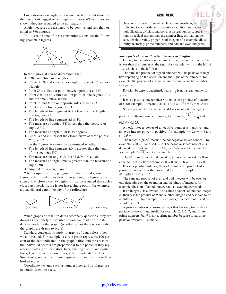Lines shown as straight are assumed to be straight (though they may look jagged on a computer screen). When curves are shown, they are assumed to be not straight.

Angle measures are assumed to be positive and less than or equal to 360 degrees.

To illustrate some of these conventions, consider the following geometric figures.



In the figures, it can be determined that

- *ABD* and *DBC* are triangles.
- Points *A, D,* and *C* lie on a straight line, so *ABC* is also a triangle.
- Point *D* is a distinct point between points *A* and *C.*
- Point *E* is the only intersection point of line segment *BC* and the small curve shown.
- Points *A* and *E* are on opposite sides of line *BD.*
- Point *F* is on line segment *BD.*
- The length of line segment *AD* is less than the length of line segment *AC.*
- The length of line segment *AB* is 10.
- The measure of angle *ABD* is less than the measure of angle *ABC.*
- The measure of angle *ACB* is 35 degrees.
- Lines *m* and *n* intersect the closed curve at three points: *R, S,* and *T.*

From the figures, it cannot be determined whether

- The length of line segment *AD* is greater than the length of line segment *DC.*
- The measures of angles *BAD* and *BDA* are equal.
- The measure of angle *ABD* is greater than the measure of angle *DBC.*
- Angle *ABC* is a right angle.

When a square, circle, polygon, or other closed geometric figure is described in words with no picture, the figure is assumed to enclose a convex region. It is also assumed that such a closed geometric figure is not just a single point. For example, a quadrilateral cannot be any of the following:



When graphs of real-life data accompany questions, they are drawn as accurately as possible so you can read or estimate data values from the graphs (whether or not there is a note that the graphs are drawn to scale).

Standard conventions apply to graphs of data unless otherwise indicated. For example, a circle graph represents 100 percent of the data indicated in the graph's title, and the areas of the individual sectors are proportional to the percents they represent. Scales, gridlines, dots, bars, shadings, solid and dashed lines, legends, etc., are used on graphs to indicate the data. Sometimes, scales that do not begin at zero are used, as well as broken scales.

Coordinate systems such as number lines and *xy*-planes are generally drawn to scale.

Questions that test *arithmetic* include those involving the following topics: arithmetic operations (addition, subtraction, multiplication, division, and powers) on real numbers, operations on radical expressions, the number line, estimation, percent, absolute value, properties of integers (for example, divisibility, factoring, prime numbers, and odd and even integers).

### *Some facts about arithmetic that may be helpful*

For any two numbers on the number line, the number on the left is less than the number on the right; for example,  $-4$  is to the left of  $-3$ , which is to the left of 0.

The sum and product of signed numbers will be positive or negative depending on the operation and the signs of the numbers; for example, the product of a negative number and a positive number is negative.

Division by zero is undefined; that is,  $\frac{x}{0}$  is not a real number for any *x*.

If *n* is a positive integer, then  $x^n$  denotes the product of *n* factors of *x*; for example,  $3^4$  means  $(3)(3)(3)(3) = 81$ . If  $x \ne 0$ , then  $x^0 = 1$ .

Squaring a number between 0 and 1 (or raising it to a higher

power) results in a smaller number; for example,  $\left(\frac{1}{3}\right)$ 1 9  $(1)^2$  $\left(\frac{1}{3}\right)^2 = \frac{1}{9}$  and

 $(0.5)^3 = 0.125.$ 

An odd integer power of a negative number is negative, and an even integer power is positive; for example,  $(-2)^3 = -8$  and  $(-2)^2 = 4.$ 

The radical sign  $\sqrt{\ }$  means "the nonnegative square root of;" for example,  $\sqrt{0} = 0$  and  $\sqrt{4} = 2$ . The negative square root of 4 is denoted by  $-\sqrt{4} = -2$ . If  $x < 0$ , then  $\sqrt{x}$  is not a real number; for example,  $\sqrt{-4}$  is not a real number.

The *absolute value* of *x*, denoted by |*x*|, is equal to *x* if  $x \ge 0$  and equal to  $-x$  if  $x < 0$ ; for example,  $|8| = 8$  and  $|-8| = -(-8) = 8$ .

If *n* is a positive integer, then *n*! denotes the product of all positive integers less than or equal to *n*; for example,  $4! = (4)(3)(2)(1) = 24.$ 

The sum and product of even and odd integers will be even or odd depending on the operation and the kinds of integers; for example, the sum of an odd integer and an even integer is odd.

If an integer *P* is a divisor (also called a factor) of another integer *N*, then *N* is the product of *P* and another integer, and *N* is said to be a multiple of *P*; for example, 3 is a divisor, or a factor, of 6, and 6 is a multiple of 3.

A *prime* number is a positive integer that has only two distinct positive divisors: 1 and itself. For example, 2, 3, 5, 7, and 11 are prime numbers, but 9 is not a prime number because it has three positive divisors: 1, 3, and 9.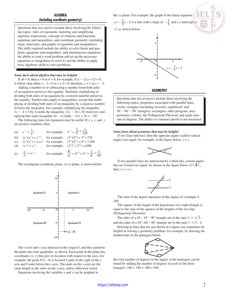# **ALGEBRA (including coordinate geometry)**

Questions that test *algebra* include those involving the following topics: rules of exponents, factoring and simplifying algebraic expressions, concepts of relations and functions, equations and inequalities, and coordinate geometry (including slope, intercepts, and graphs of equations and inequalities). The skills required include the ability to solve linear and quadratic equations and inequalities, and simultaneous equations; the ability to read a word problem and set up the necessary equations or inequalities to solve it; and the ability to apply basic algebraic skills to solve problems.

#### *Some facts about algebra that may be helpful*

If  $ab = 0$ , then  $a = 0$  or  $b = 0$ ; for example, if  $(x - 1)(x + 2) = 0$ , it follows that either  $x - 1 = 0$  or  $x + 2 = 0$ ; therefore,  $x = 1$  or  $x = -2$ .

Adding a number to or subtracting a number from both sides of an equation preserves the equality. Similarly, multiplying or dividing both sides of an equation by a nonzero number preserves the equality. Similar rules apply to inequalities, except that multiplying or dividing both sides of an inequality by a *negative* number reverses the inequality. For example, multiplying the inequality  $3x - 4 > 5$  by 4 yields the inequality  $12x - 16 > 20$ ; however, multiplying that same inequality by  $-4$  yields  $-12x + 16 < -20$ .

The following rules for exponents may be useful. If *r, s, x,* and *y* are positive numbers, then

(a) 
$$
x^{-r} = \frac{1}{x^r}
$$
; for example,  $5^{-3} = \frac{1}{5^3} = \frac{1}{125}$   
\n(b)  $(x^r)(x^s) = x^{r+s}$ ; for example,  $(3^2)(3^4) = 3^6 = 729$   
\n(c)  $(x^r)(y^r) = (xy)^r$ ; for example,  $(3^4)(2^4) = 6^4 = 1,296$   
\n(d)  $(x^r)^s = x^{rs}$ ; for example,  $(2^3)^4 = 2^{12} = 4,096$   
\n(e)  $\frac{x^r}{x^s} = x^{r-s}$ ; for example,  $\frac{4^2}{4^5} = 4^{2-5} = 4^{-3} = \frac{1}{4^3} = \frac{1}{64}$ 

The rectangular coordinate plane, or *xy*-plane, is shown below.



The *x*-axis and *y*-axis intersect at the origin *O*, and they partition the plane into four quadrants, as shown. Each point in the plane has coordinates (*x, y*) that give its location with respect to the axes; for example, the point  $P(2, -8)$  is located 2 units to the right of the *y*axis and 8 units below the *x*-axis. The units on the *x*-axis are the same length as the units on the *y*-axis, unless otherwise noted.

Equations involving the variables *x* and *y* can be graphed in

the *xy*-plane. For example, the graph of the linear equation  $y = -\frac{3}{5}x - 2$  is a line with a slope of  $-\frac{3}{5}$  and a *y*-intercept of





# **GEOMETRY**

Questions that test *geometry* include those involving the following topics: properties associated with parallel lines, circles, triangles (including isosceles, equilateral, and 30° – 60° – 90° triangles), rectangles, other polygons, area, perimeter, volume, the Pythagorean Theorem, and angle measure in degrees. The ability to construct proofs is not measured.

#### *Some facts about geometry that may be helpful*

If two lines intersect, then the opposite angles (called vertical angles) are equal; for example, in the figure below,  $x = y$ .



If two parallel lines are intersected by a third line, certain angles that are formed are equal. As shown in the figure below, if  $\ell_1 || \ell_2$ , then  $x = y = z$ .



The sum of the degree measures of the angles of a triangle is 180.

The square of the length of the hypotenuse of a right triangle is equal to the sum of the squares of the lengths of the two legs (Pythagorean Theorem).

The sides of a 45° – 45° – 90° triangle are in the ratio 1: 1:  $\sqrt{2}$ , and the sides of a 30° – 60° – 90° triangle are in the ratio 1 :  $\sqrt{3}$  : 2.

Drawing in lines that are not shown in a figure can sometimes be helpful in solving a geometry problem; for example, by drawing the dashed lines in the pentagon below,



the total number of degrees in the angles of the pentagon can be found by adding the number of degrees in each of the three triangles:  $180 + 180 + 180 = 540$ .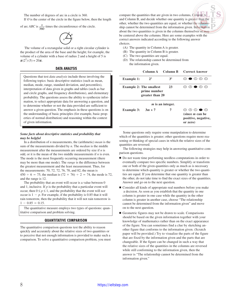The number of degrees of arc in a circle is 360.

If *O* is the center of the circle in the figure below, then the length

of arc ABC is 
$$
\frac{x}{360}
$$
 times the circumference of the circle.



The volume of a rectangular solid or a right circular cylinder is the product of the area of the base and the height; for example, the volume of a cylinder with a base of radius 2 and a height of 5 is  $(2^2) (5) = 20$ 

# **DATA ANALYSIS**

Questions that test *data analysis* include those involving the following topics: basic descriptive statistics (such as mean, median, mode, range, standard deviation, and percentiles), interpretation of data given in graphs and tables (such as bar and circle graphs, and frequency distributions), and elementary probability. The questions assess the ability to synthesize information, to select appropriate data for answering a question, and to determine whether or not the data provided are sufficient to answer a given question. The emphasis in these questions is on the understanding of basic principles (for example, basic properties of normal distribution) and reasoning within the context of given information.

### *Some facts about descriptive statistics and probability that may be helpful*

In a distribution of *n* measurements, the (arithmetic) *mean* is the sum of the measurements divided by *n*. The *median* is the middle measurement after the measurements are ordered by size if *n* is odd, or it is the mean of the two middle measurements if *n* is even. The mode is the most frequently occurring measurement (there may be more than one mode). The *range* is the difference between the greatest measurement and the least measurement. Thus, for the measurements: 70, 72, 72, 76, 78, and 82, the mean is  $450 \div 6 = 75$ , the median is  $(72 + 76) \div 2 = 74$ , the mode is 72, and the range is 12.

The probability that an event will occur is a value between 0 and 1, inclusive. If  $p$  is the probability that a particular event will occur, then  $0 \le p \le 1$ , and the probability that the event will *not* occur is  $1 - p$ . For example, if the probability is 0.85 that it will rain tomorrow, then the probability that it will not rain tomorrow is  $1 - 0.85 = 0.15.$ 

The quantitative measure employs two types of questions: quantitative comparison and problem solving.

# **QUANTITATIVE COMPARISON**

The quantitative comparison questions test the ability to reason quickly and accurately about the relative sizes of two quantities or to perceive that not enough information is provided to make such a comparison. To solve a quantitative comparison problem, you must compare the quantities that are given in two columns, Column A and Column B, and decide whether one quantity is greater than the other, whether the two quantities are equal, or whether the relationship cannot be determined from the information given. Information about the two quantities is given in the columns themselves or may be centered above the columns. Here are some examples with the correct answers indicated according to the following answer choices.

- (A) The quantity in Column A is greater.
- (B) The quantity in Column B is greater.
- (C) The two quantities are equal.
- (D) The relationship cannot be determined from the information given.

|                   |                                                                   | Column A Column B       | <b>Correct Answer</b>                                                                                               |
|-------------------|-------------------------------------------------------------------|-------------------------|---------------------------------------------------------------------------------------------------------------------|
| <b>Example 1:</b> | 2 <sup>3</sup>                                                    | 3 <sup>2</sup>          | $\bullet$ o o o                                                                                                     |
|                   | <b>Example 2: The smallest</b><br>prime number<br>greater than 20 | 23                      | ⊕<br>⊕<br>-CE)                                                                                                      |
|                   |                                                                   | <i>m</i> is an integer. |                                                                                                                     |
| <b>Example 3:</b> | $3m + 7$                                                          | 7                       | $\circledcirc$ $\circledcirc$ $\circledcirc$ $\circledcirc$<br>(since $m$ can be<br>positive, negative,<br>or zero) |

Some questions only require some manipulation to determine which of the quantities is greater; other questions require more reasoning or thinking of special cases in which the relative sizes of the quantities are reversed.

The following strategies may help in answering quantitative comparison questions.

- Do not waste time performing needless computations in order to eventually compare two specific numbers. Simplify or transform one or both of the given quantities only as much as is necessary to determine which quantity is greater or whether the two quantities are equal. If you determine that one quantity is greater than the other, do not take time to find the exact sizes of the quantities. Answer and go on to the next question.
- Consider all kinds of appropriate real numbers before you make a decision. As soon as you establish that the quantity in one column is greater in one case while the quantity in the other column is greater in another case, choose "The relationship cannot be determined from the information given" and move on to the next question.
- Geometric figures may not be drawn to scale. Comparisons should be based on the given information together with your knowledge of mathematics rather than on the exact appearance of the figure. You can sometimes find a clue by sketching another figure that conforms to the information given. (Scratch paper will be provided.) Try to visualize the parts of the figure that are fixed by the information given and the parts that are changeable. If the figure can be changed in such a way that the relative sizes of the quantities in the columns are reversed while still conforming to the information given, then the answer is "The relationship cannot be determined from the information given."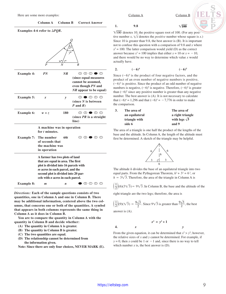| Here are some more examples:                                        |                                                                                                                                                                    |                            |       |                                                                         |
|---------------------------------------------------------------------|--------------------------------------------------------------------------------------------------------------------------------------------------------------------|----------------------------|-------|-------------------------------------------------------------------------|
|                                                                     | Column A                                                                                                                                                           | Column B                   |       | <b>Correct Answer</b>                                                   |
|                                                                     | Examples 4-6 refer to $\triangle PQR$ .                                                                                                                            |                            |       |                                                                         |
|                                                                     |                                                                                                                                                                    |                            |       |                                                                         |
|                                                                     |                                                                                                                                                                    |                            |       |                                                                         |
|                                                                     |                                                                                                                                                                    | $x^{\circ}$<br>$y^{\circ}$ |       |                                                                         |
|                                                                     |                                                                                                                                                                    |                            |       |                                                                         |
|                                                                     |                                                                                                                                                                    |                            |       | $\overline{R}$                                                          |
| <b>Example 4:</b>                                                   | <i>PN</i>                                                                                                                                                          | $\overline{N}$             |       | $\circledcirc \circledcirc \bullet \circledcirc$                        |
|                                                                     |                                                                                                                                                                    |                            |       | (since equal measures<br>cannot be assumed,                             |
|                                                                     |                                                                                                                                                                    |                            |       | even though PN and                                                      |
|                                                                     |                                                                                                                                                                    |                            |       | NR appear to be equal)                                                  |
| <b>Example 5:</b>                                                   | x                                                                                                                                                                  | y                          |       | $\circledcirc \bullet \circledcirc \circledcirc$<br>(since N is between |
|                                                                     |                                                                                                                                                                    |                            |       | $P$ and $R$ )                                                           |
| <b>Example 6:</b>                                                   | $w + z$                                                                                                                                                            | 180                        |       | $\circledcirc \circ \bullet \circledcirc \circledcirc$                  |
|                                                                     |                                                                                                                                                                    |                            | line) | (since $PR$ is a straight                                               |
|                                                                     | A machine was in operation<br>for t minutes.                                                                                                                       |                            |       |                                                                         |
| <b>Example 7:</b>                                                   | The number<br>of seconds that                                                                                                                                      | 60t                        |       | $\circledcirc \bullet \circledcirc \circledcirc$                        |
|                                                                     | the machine was                                                                                                                                                    |                            |       |                                                                         |
|                                                                     | in operation                                                                                                                                                       |                            |       |                                                                         |
| A farmer has two plots of land<br>that are equal in area. The first |                                                                                                                                                                    |                            |       |                                                                         |
|                                                                     | $\mathbf{1}$ , $\mathbf{1}$ , $\mathbf{1}$ , $\mathbf{1}$ , $\mathbf{1}$ , $\mathbf{1}$ , $\mathbf{1}$ , $\mathbf{1}$ , $\mathbf{1}$ , $\mathbf{1}$ , $\mathbf{1}$ |                            |       |                                                                         |

**plot is divided into 16 parcels with** *m* **acres in each parcel, and the second plot is divided into 20 parcels with** *n* **acres in each parcel.**

*Directions:* **Each of the sample questions consists of two quantities, one in Column A and one in Column B. There may be additional information, centered above the two columns, that concerns one or both of the quantities. A symbol that appears in both columns represents the same thing in Column A as it does in Column B.**

**Example 8:**  $m \qquad n \qquad \bullet \circledcirc \circledcirc \circledcirc$ 

**You are to compare the quantity in Column A with the quantity in Column B and decide whether:**

- **(A) The quantity in Column A is greater.**
- **(B) The quantity in Column B is greater.**
- **(C) The two quantities are equal.**
- **(D) The relationship cannot be determined from the information given.**

**Note: Since there are only four choices, NEVER MARK (E).**

**1.** 9.8  $\sqrt{ }$ 

 $\sqrt{100}$ 

 $\sqrt{100}$  denotes 10, the positive square root of 100. (For any positive number *x*,  $\sqrt{x}$  denotes the *positive* number whose square is *x*.) Since 10 is greater than 9.8, the best answer is (B). It is important not to confuse this question with a comparison of 9.8 and *x* where  $x^2 = 100$ . The latter comparison would yield (D) as the correct answer because  $x^2 = 100$  implies that either  $x = 10$  or  $x = -10$ , and there would be no way to determine which value *x* would actually have.

2. 
$$
(-6)^4
$$
  $(-6)^5$ 

Since  $(-6)^4$  is the product of four negative factors, and the product of an even number of negative numbers is positive,  $(-6)^4$  is positive. Since the product of an odd number of negative numbers is negative,  $(-6)^5$  is negative. Therefore,  $(-6)^4$  is greater than  $(-6)^5$  since any positive number is greater than any negative number. The best answer is (A). It is not necessary to calculate that  $(-6)^4 = 1,296$  and that  $(-6)^5 = -7,776$  in order to make the comparison.

| 3. | The area of    | The area of          |
|----|----------------|----------------------|
|    | an equilateral | a right triangle     |
|    | triangle with  | with legs $\sqrt{3}$ |
|    | side 6         | and 9                |

The area of a triangle is one half the product of the lengths of the base and the altitude. In Column A, the length of the altitude must first be determined. A sketch of the triangle may be helpful.



The altitude *h* divides the base of an equilateral triangle into two equal parts. From the Pythagorean Theorem,  $h^2 + 3^2 = 6^2$ , or  $h = 3\sqrt{3}$ . Therefore, the area of the triangle in Column A is

$$
\left(\frac{1}{2}\right)
$$
(6)(3 $\sqrt{3}$ ) = 9 $\sqrt{3}$ . In Column B, the base and the altitude of the

right triangle are the two legs; therefore, the area is

$$
\left(\frac{1}{2}\right)(9)(\sqrt{3}) = \frac{9\sqrt{3}}{2}
$$
. Since  $9\sqrt{3}$  is greater than  $\frac{9\sqrt{3}}{2}$ , the best

answer is (A).

$$
x^2 = y^2 + 1
$$
\n4.

\nx

From the given equation, it can be determined that  $x^2 > y^2$ ; however, the relative sizes of *x* and *y* cannot be determined. For example, if  $y = 0$ , then *x* could be 1 or  $-1$  and, since there is no way to tell which number  $x$  is, the best answer is  $(D)$ .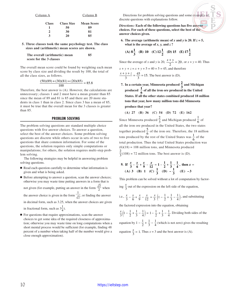| Column A     |    | Column B                     |
|--------------|----|------------------------------|
| <b>Class</b> |    | <b>Class Size Mean Score</b> |
|              | 50 | 89                           |
| 2.           | 30 | 81                           |
|              | 20 | 85                           |

**5. Three classes took the same psychology test. The class sizes and (arithmetic) mean scores are shown.**

**The overall (arithmetic) mean 85 score for the 3 classes**

The overall mean score could be found by weighting each mean score by class size and dividing the result by 100, the total of all the class sizes, as follows.

$$
\frac{(50)(89) + (30)(81) + (20)(85)}{100} = 85.8
$$

Therefore, the best answer is (A). However, the calculations are unnecessary; classes 1 and 2 must have a mean greater than 85 since the mean of 89 and 81 is 85 and there are 20 more students in class 1 than in class 2. Since class 3 has a mean of 85, it must be true that the overall mean for the 3 classes is greater than 85.

# **PROBLEM SOLVING**

The problem solving questions are standard multiple choice questions with five answer choices. To answer a question, select the best of the answer choices. Some problem solving questions are discrete while others occur in sets of two to five questions that share common information. For some of the questions, the solution requires only simple computations or manipulations; for others, the solution requires multi-step problem solving.

The following strategies may be helpful in answering problem solving questions.

- Read each question carefully to determine what information is given and what is being asked.
- Before attempting to answer a question, scan the answer choices; otherwise you may waste time putting answers in a form that is not given (for example, putting an answer in the form  $\frac{\sqrt{2}}{2}$  when the answer choice is given in the form  $\frac{1}{\sqrt{2}}$ , or finding the answer in decimal form, such as 3.25, when the answer choices are given in fractional form, such as  $3\frac{1}{4}$ ).
- **For questions that require approximations, scan the answer** choices to get some idea of the required closeness of approximation; otherwise you may waste time on long computations when a short mental process would be sufficient (for example, finding 48 percent of a number when taking half of the number would give a close enough approximation).

Directions for problem solving questions and some examples of discrete questions with explanations follow.

*Directions:* **Each of the following questions has five answer choices. For each of these questions, select the best of the answer choices given.**

**6.** The average (arithmetic mean) of *x* and *y* is 20. If  $z = 5$ , **what is the average of** *x, y,* **and** *z* **?**

(A) 
$$
8\frac{1}{3}
$$
 (B) 10 (C)  $12\frac{1}{2}$  (D) 15 (E)  $17\frac{1}{2}$ 

Since the average of *x* and *y* is 20,  $\frac{x+y}{2} = 20$ , or  $x + y = 40$ . Thus  $x + y + z = x + y + 5 = 40 + 5 = 45$ , and therefore 3 45  $\frac{x+y+z}{3} = \frac{45}{3} = 15$ . The best answer is (D).

- **7.** In a certain year, Minnesota produced  $\frac{2}{3}$  and Michigan produced  $\frac{1}{6}$  of all the iron ore produced in the United **States. If all the other states combined produced 18 million tons that year, how many million tons did Minnesota produce that year?**
- **(A) 27 (B) 36 (C) 54 (D) 72 (E) 162** Since Minnesota produced  $\frac{2}{3}$  and Michigan produced  $\frac{1}{6}$  of all the iron ore produced in the United States, the two states together produced  $\frac{5}{6}$  of the iron ore. Therefore, the 18 million tons produced by the rest of the United States was  $\frac{1}{6}$  of the total production. Thus the total United States production was  $(6)(18) = 108$  million tons, and Minnesota produced  $\frac{2}{3}(108) = 72$  million tons. The best answer is (D).

8. If 
$$
\frac{x}{3} - \frac{x}{6} + \frac{x}{9} - \frac{x}{12} = 1 - \frac{1}{2} + \frac{1}{3} - \frac{1}{4}
$$
, then  $x =$   
(A) 3 (B) 1 (C)  $\frac{1}{3}$  (D)  $-\frac{1}{3}$  (E) -3

This problem can be solved without a lot of computation by factor-

 $\frac{x}{2}$  $\frac{\lambda}{3}$  out of the expression on the left side of the equation,

i.e., 
$$
\frac{x}{3} - \frac{x}{6} + \frac{x}{9} - \frac{x}{12} = \frac{x}{3} \left( 1 - \frac{1}{2} + \frac{1}{3} - \frac{1}{4} \right)
$$
, and substituting

the factored expression into the equation, obtaining

ł.  $\frac{x}{3}\left(1-\frac{1}{2}+\frac{1}{3}-\frac{1}{4}\right) = 1-\frac{1}{2}+\frac{1}{3}-\frac{1}{4}$ . Dividing both sides of the equation by  $1 - \frac{1}{2} + \frac{1}{3} - \frac{1}{4}$  (which is not zero) gives the resulting equation  $\frac{x}{3} = 1$ . Thus  $x = 3$  and the best answer is (A).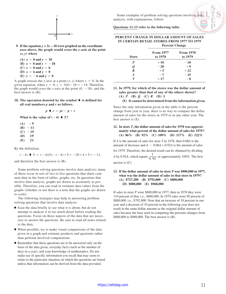

- **9.** If the equation  $y = 3x 18$  were graphed on the coordinate **axes above, the graph would cross the** *y***-axis at the point**  $(x, y)$  where
	- **(A)**  $x = 0$  and  $y = 18$ **(B)**  $x = 0$  and  $y = -18$ **(C)**  $x = 0$  and  $y = 6$ **(D)**  $x = 6$  and  $y = 0$ **(E)**  $x = -6$  and  $y = 0$

A graph crosses the *y*-axis at a point  $(x, y)$  where  $x = 0$ . In the given equation, when  $x = 0$ ,  $y = 3(0) - 18 = -18$ . Therefore, the graph would cross the *y*-axis at the point  $(0, -18)$ , and the best answer is (B).

# **10. The operation denoted by the symbol is defined for all real numbers** *p* **and** *r* **as follows.**

$$
p \blacklozenge r = pr - p + r
$$

**What is the value of**  $(-4) \div 5$ **?** 

 $(A) -9$  $(B) -11$  $(C) -19$ **(D) 19 (E) 21**

By the definition,

 $(-4)$   $\blacklozenge$  5 =  $(-4)(5)-(-4)+5=-20+4+5=-11$ ,

and therefore the best answer is (B).

Some problem solving questions involve data analysis; many of these occur in sets of two to five questions that share common data in the form of tables, graphs, etc. In questions that involve data analysis, graphs are drawn as accurately as possible. Therefore, you can read or estimate data values from the graphs (whether or not there is a note that the graphs are drawn to scale).

The following strategies may help in answering problem solving questions that involve data analysis.

- Scan the data briefly to see what it is about, but do not attempt to analyze it in too much detail before reading the questions. Focus on those aspects of the data that are necessary to answer the questions. Be sure to read all notes related to the data.
- When possible, try to make visual comparisons of the data given in a graph and estimate products and quotients rather than perform involved computations.
- Remember that these questions are to be answered only on the basis of the data given, everyday facts (such as the number of days in a year), and your knowledge of mathematics. Do not make use of specific information you recall that may seem to relate to the particular situation on which the questions are based unless that information can be derived from the data provided.

Some examples of problem solving questions involving data analysis, with explanations, follow.

**PERCENT CHANGE IN DOLLAR AMOUNT OF SALES IN CERTAIN RETAIL STORES FROM 1977 TO 1979**

**Questions 11-13 refer to the following table.** 

|              | <b>Percent Change</b>       |                             |
|--------------|-----------------------------|-----------------------------|
| <b>Store</b> | <b>From 1977</b><br>to 1978 | <b>From 1978</b><br>to 1979 |
| P            | $+10$                       | $-10$                       |
| Q            | $-20$                       | $+9$                        |
| R            | $+5$                        | $+12$                       |
| S            | $-7$                        | $-15$                       |
| T            | $+17$                       | $-8$                        |

# **11. In 1979, for which of the stores was the dollar amount of sales greater than that of any of the others shown? (A)** *P* **(B)** *Q* **(C)** *R* **(D)** *S*

#### **(E) It cannot be determined from the information given.**

Since the only information given in the table is the percent change from year to year, there is no way to compare the dollar amount of sales for the stores in 1979 or in any other year. The best answer is (E).

# **12. In store** *T***, the dollar amount of sales for 1978 was approximately what percent of the dollar amount of sales for 1979? (A) 86% (B) 92% (C) 109% (D) 117% (E) 122%**

If *A* is the amount of sales for store *T* in 1978, then 0.08*A* is the amount of decrease and  $A - 0.08A = 0.92A$  is the amount of sales for 1979. Therefore, the desired result can be obtained by dividing *A* by 0.92*A*, which equals  $\frac{1}{0.92}$ , or approximately 109%. The best answer is (C).

# **13. If the dollar amount of sales in store** *P* **was \$800,000 in 1977, what was the dollar amount of sales in that store in 1979? (A) \$727,200 (B) \$792,000 (C) \$800,000 (D) \$880,000 (E) \$968,000**

If sales in store *P* were \$800,000 in 1977, then in 1978 they were 110 percent of that, i.e., \$880,000. In 1979 sales were 90 percent of \$880,000, i.e., \$792,000. Note that an increase of 10 percent in one year and a decrease of 10 percent in the following year does not result in the same dollar amount as the original dollar amount of sales because the base used in computing the percents changes from \$800,000 to \$880,000. The best answer is (B).